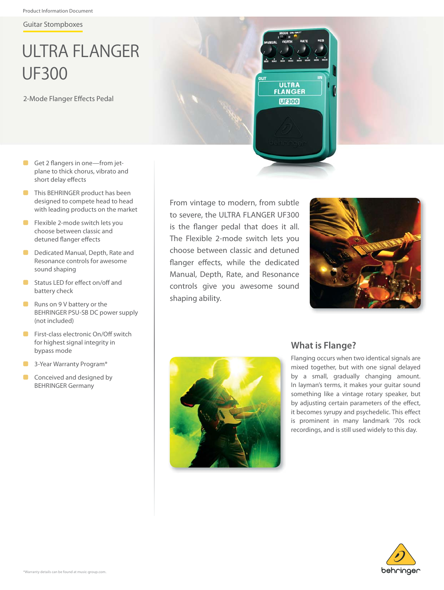Guitar Stompboxes

# ULTRA FLANGER UF300

2-Mode Flanger Effects Pedal

- $\Box$  Get 2 flangers in one—from jetplane to thick chorus, vibrato and short delay effects
- **This BEHRINGER product has been** designed to compete head to head with leading products on the market
- $\blacksquare$  Flexible 2-mode switch lets you choose between classic and detuned flanger effects
- **Dedicated Manual, Depth, Rate and** Resonance controls for awesome sound shaping
- **Status LED for effect on/off and** battery check
- $\blacksquare$  Runs on 9 V battery or the BEHRINGER PSU-SB DC power supply (not included)
- **Exercises** Electronic On/Off switch for highest signal integrity in bypass mode
- **8** 3-Year Warranty Program\*
- $\Box$  Conceived and designed by BEHRINGER Germany

From vintage to modern, from subtle to severe, the ULTRA FLANGER UF300 is the flanger pedal that does it all. The Flexible 2-mode switch lets you choose between classic and detuned flanger effects, while the dedicated Manual, Depth, Rate, and Resonance controls give you awesome sound shaping ability.





#### **What is Flange?**

**ULTRA FLANGER UE300** 

> Flanging occurs when two identical signals are mixed together, but with one signal delayed by a small, gradually changing amount. In layman's terms, it makes your guitar sound something like a vintage rotary speaker, but by adjusting certain parameters of the effect, it becomes syrupy and psychedelic. This effect is prominent in many landmark '70s rock recordings, and is still used widely to this day.

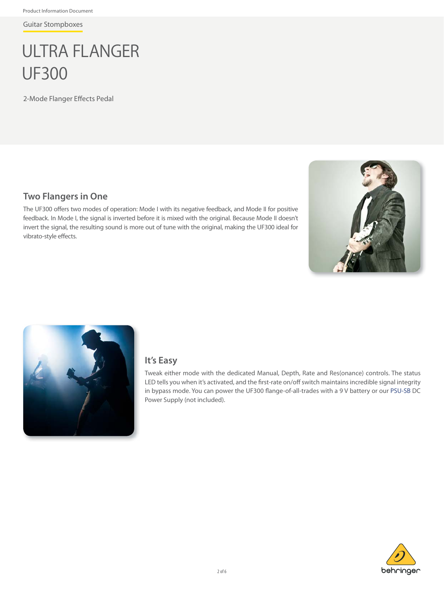Guitar Stompboxes

## ULTRA FLANGER UF300

2-Mode Flanger Effects Pedal

#### **Two Flangers in One**

The UF300 offers two modes of operation: Mode I with its negative feedback, and Mode II for positive feedback. In Mode I, the signal is inverted before it is mixed with the original. Because Mode II doesn't invert the signal, the resulting sound is more out of tune with the original, making the UF300 ideal for vibrato-style effects.





#### **It's Easy**

Tweak either mode with the dedicated Manual, Depth, Rate and Res(onance) controls. The status LED tells you when it's activated, and the first-rate on/off switch maintains incredible signal integrity in bypass mode. You can power the UF300 flange-of-all-trades with a 9 V battery or ou[r PSU-SB D](http://www.behringer.com/EN/Products/PSU-SB.aspx)C Power Supply (not included).

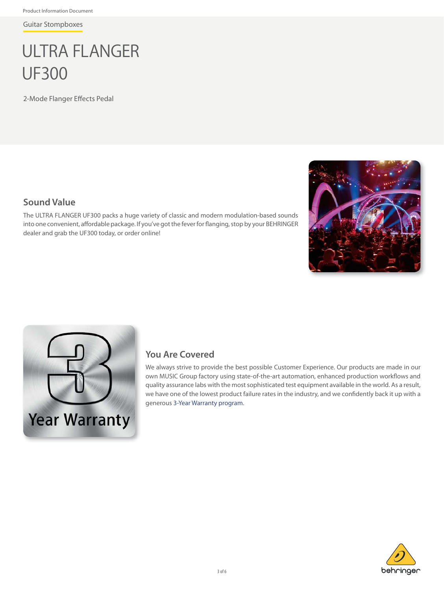Guitar Stompboxes

## ULTRA FLANGER UF300

2-Mode Flanger Effects Pedal

#### **Sound Value**

The ULTRA FLANGER UF300 packs a huge variety of classic and modern modulation-based sounds into one convenient, affordable package. If you've got the fever for flanging, stop by your BEHRINGER dealer and grab the UF300 today, or order online!





### **You Are Covered**

We always strive to provide the best possible Customer Experience. Our products are made in our own MUSIC Group factory using state-of-the-art automation, enhanced production workflows and quality assurance labs with the most sophisticated test equipment available in the world. As a result, we have one of the lowest product failure rates in the industry, and we confidently back it up with a generous [3-Year Warranty program.](http://www.music-group.com/warranty.aspx)

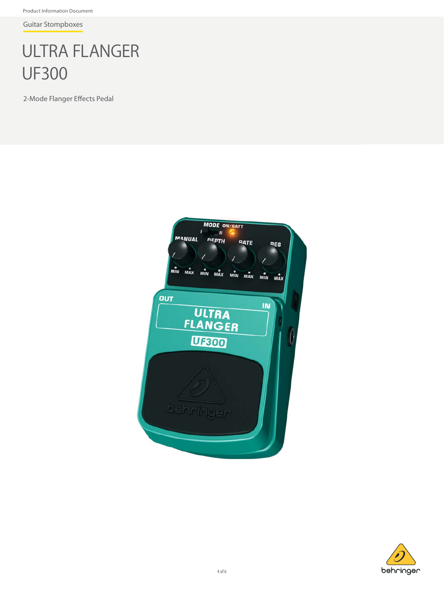Product Information Document

Guitar Stompboxes

## ULTRA FLANGER UF300

2-Mode Flanger Effects Pedal



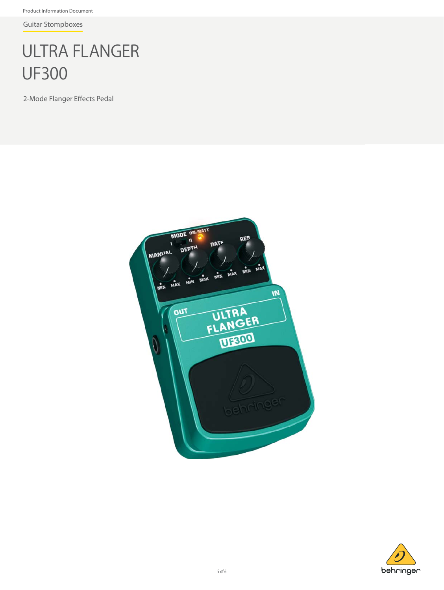Product Information Document

Guitar Stompboxes

## ULTRA FLANGER UF300

2-Mode Flanger Effects Pedal